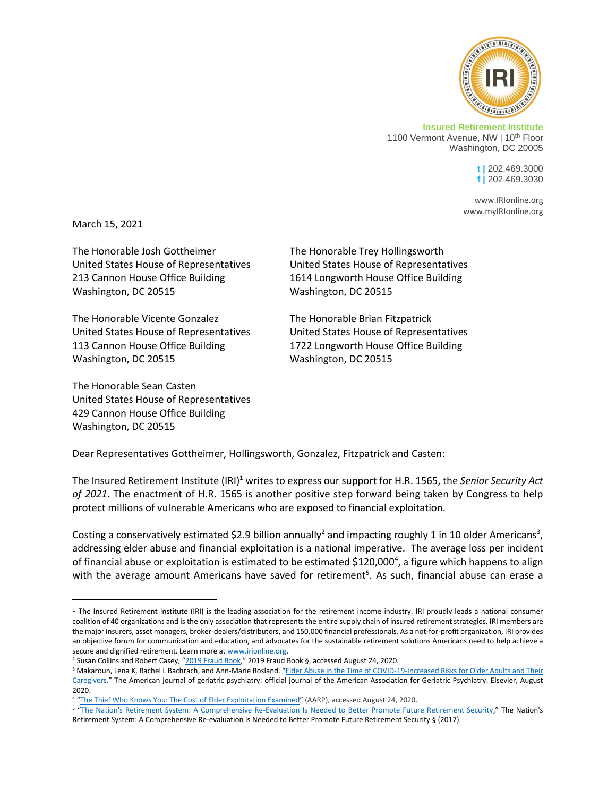

**Insured Retirement Institute** 1100 Vermont Avenue, NW | 10<sup>th</sup> Floor Washington, DC 20005

> **t |** 202.469.3000 **f |** 202.469.3030

[www.IRIonline.org](http://www.irionline.org/) [www.myIRIonline.org](http://www.myirionline.org/)

March 15, 2021

The Honorable Josh Gottheimer The Honorable Trey Hollingsworth 213 Cannon House Office Building 1614 Longworth House Office Building Washington, DC 20515 Washington, DC 20515

The Honorable Vicente Gonzalez The Honorable Brian Fitzpatrick 113 Cannon House Office Building 1722 Longworth House Office Building Washington, DC 20515 Washington, DC 20515

The Honorable Sean Casten United States House of Representatives 429 Cannon House Office Building Washington, DC 20515

United States House of Representatives United States House of Representatives

United States House of Representatives United States House of Representatives

Dear Representatives Gottheimer, Hollingsworth, Gonzalez, Fitzpatrick and Casten:

The Insured Retirement Institute (IRI)<sup>1</sup> writes to express our support for H.R. 1565, the *Senior Security Act of 2021*. The enactment of H.R. 1565 is another positive step forward being taken by Congress to help protect millions of vulnerable Americans who are exposed to financial exploitation.

Costing a conservatively estimated \$2.9 billion annually<sup>2</sup> and impacting roughly 1 in 10 older Americans<sup>3</sup>, addressing elder abuse and financial exploitation is a national imperative. The average loss per incident of financial abuse or exploitation is estimated to be estimated \$120,000<sup>4</sup>, a figure which happens to align with the average amount Americans have saved for retirement<sup>5</sup>. As such, financial abuse can erase a

 $1$  The Insured Retirement Institute (IRI) is the leading association for the retirement income industry. IRI proudly leads a national consumer coalition of 40 organizations and is the only association that represents the entire supply chain of insured retirement strategies. IRI members are the major insurers, asset managers, broker-dealers/distributors, and 150,000 financial professionals. As a not-for-profit organization, IRI provides an objective forum for communication and education, and advocates for the sustainable retirement solutions Americans need to help achieve a secure and dignified retirement. Learn more a[t www.irionline.org.](http://www.irionline.org/) 

<sup>&</sup>lt;sup>2</sup> Susan Collins and Robert Casey, "[2019 Fraud Book](https://www.collins.senate.gov/sites/default/files/2019%20Fraud%20Book.pdf.)," 2019 Fraud Book §, accessed August 24, 2020.

<sup>&</sup>lt;sup>3</sup> Makaroun, Lena K, Rachel L Bachrach, and Ann-Marie Rosland. "Elder Abuse in the Time of COVID-19-Increased Risks for Older Adults and Their [Caregivers.](https://www.ncbi.nlm.nih.gov/pmc/articles/PMC7234937/)" The American journal of geriatric psychiatry: official journal of the American Association for Geriatric Psychiatry. Elsevier, August 2020.

<sup>&</sup>lt;sup>4</sup> "[The Thief Who Knows You: The Cost of Elder Exploitation Examined](https://www.aarp.org/ppi/info-2020/the-thief-who-knows-you-the-cost-of-elder-exploitation-examined.html)" (AARP), accessed August 24, 2020.

<sup>5</sup> "[The Nation's Retirement System: A Comprehensive Re-Evaluation Is Needed to Better Promote Future Retirement Security](https://www.gao.gov/assets/gao-18-111sp.pdf)," The Nation's Retirement System: A Comprehensive Re-evaluation Is Needed to Better Promote Future Retirement Security § (2017).